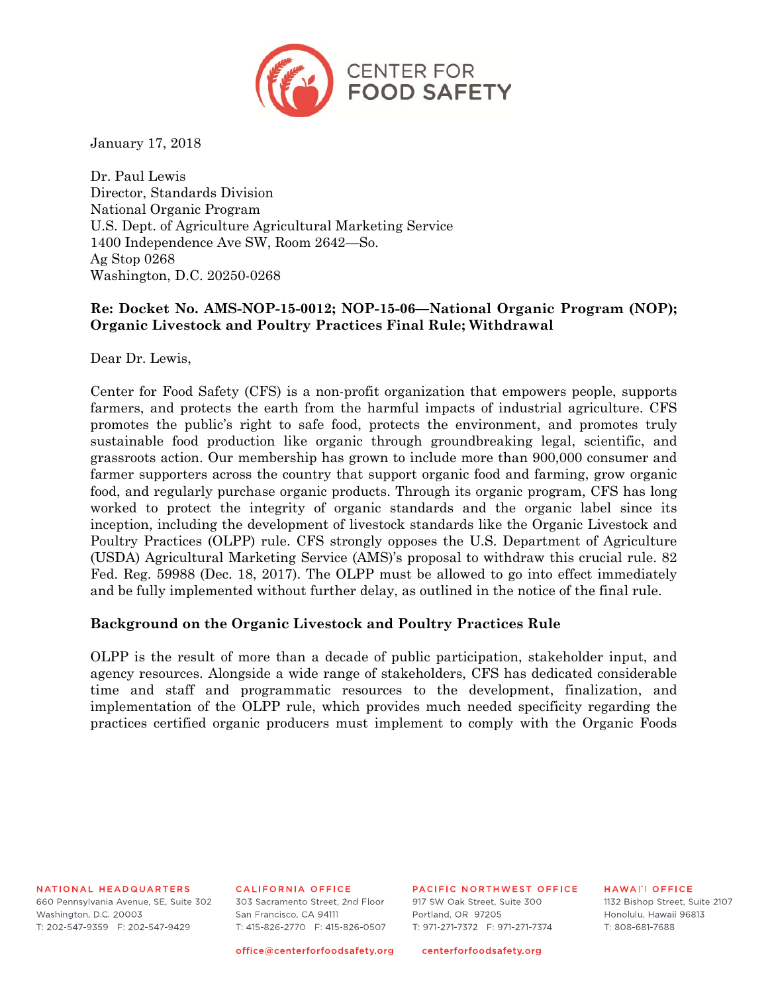

January 17, 2018

Dr. Paul Lewis Director, Standards Division National Organic Program U.S. Dept. of Agriculture Agricultural Marketing Service 1400 Independence Ave SW, Room 2642—So. Ag Stop 0268 Washington, D.C. 20250-0268

# **Re: Docket No. AMS-NOP-15-0012; NOP-15-06—National Organic Program (NOP); Organic Livestock and Poultry Practices Final Rule; Withdrawal**

Dear Dr. Lewis,

Center for Food Safety (CFS) is a non-profit organization that empowers people, supports farmers, and protects the earth from the harmful impacts of industrial agriculture. CFS promotes the public's right to safe food, protects the environment, and promotes truly sustainable food production like organic through groundbreaking legal, scientific, and grassroots action. Our membership has grown to include more than 900,000 consumer and farmer supporters across the country that support organic food and farming, grow organic food, and regularly purchase organic products. Through its organic program, CFS has long worked to protect the integrity of organic standards and the organic label since its inception, including the development of livestock standards like the Organic Livestock and Poultry Practices (OLPP) rule. CFS strongly opposes the U.S. Department of Agriculture (USDA) Agricultural Marketing Service (AMS)'s proposal to withdraw this crucial rule. 82 Fed. Reg. 59988 (Dec. 18, 2017). The OLPP must be allowed to go into effect immediately and be fully implemented without further delay, as outlined in the notice of the final rule.

#### **Background on the Organic Livestock and Poultry Practices Rule**

OLPP is the result of more than a decade of public participation, stakeholder input, and agency resources. Alongside a wide range of stakeholders, CFS has dedicated considerable time and staff and programmatic resources to the development, finalization, and implementation of the OLPP rule, which provides much needed specificity regarding the practices certified organic producers must implement to comply with the Organic Foods

NATIONAL HEADQUARTERS

660 Pennsylvania Avenue, SE, Suite 302 Washington, D.C. 20003 T: 202-547-9359 F: 202-547-9429

CALIFORNIA OFFICE

303 Sacramento Street, 2nd Eloor San Francisco, CA 94111 T: 415-826-2770 F: 415-826-0507 PACIFIC NORTHWEST OFFICE

917 SW Oak Street, Suite 300 Portland, OR 97205 T: 971-271-7372 F: 971-271-7374

**HAWALL OFFICE** 1132 Bishop Street, Suite 2107 Honolulu, Hawaii 96813 T: 808-681-7688

office@centerforfoodsafety.org

centerforfoodsafety.org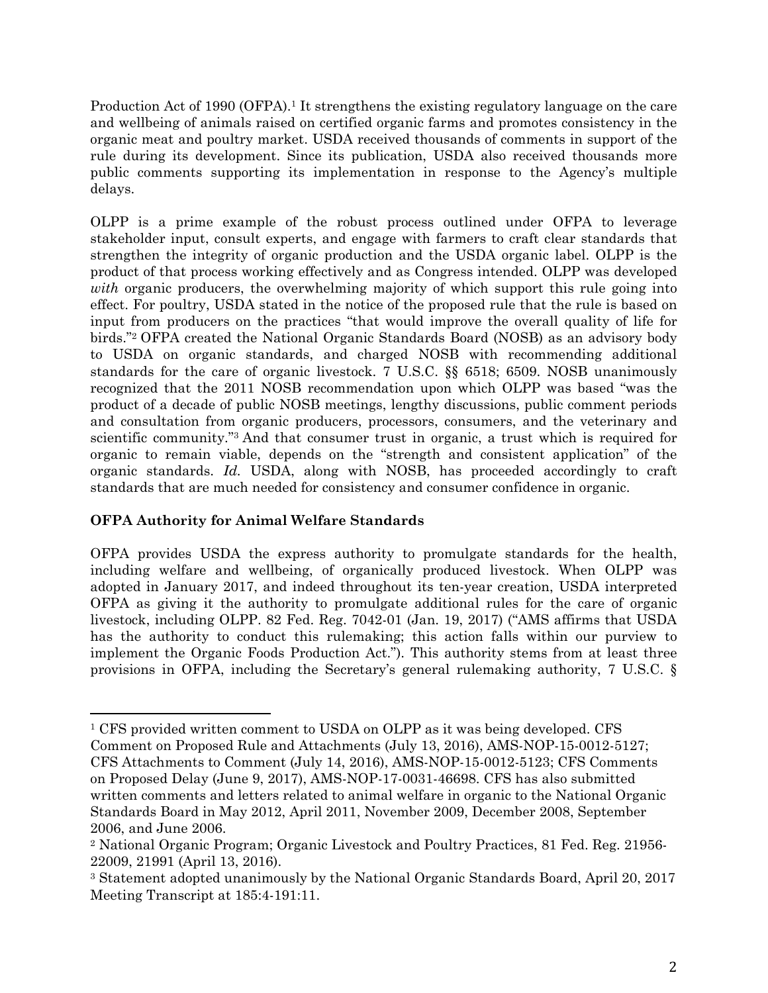Production Act of 1990 (OFPA).<sup>1</sup> It strengthens the existing regulatory language on the care and wellbeing of animals raised on certified organic farms and promotes consistency in the organic meat and poultry market. USDA received thousands of comments in support of the rule during its development. Since its publication, USDA also received thousands more public comments supporting its implementation in response to the Agency's multiple delays.

OLPP is a prime example of the robust process outlined under OFPA to leverage stakeholder input, consult experts, and engage with farmers to craft clear standards that strengthen the integrity of organic production and the USDA organic label. OLPP is the product of that process working effectively and as Congress intended. OLPP was developed *with* organic producers, the overwhelming majority of which support this rule going into effect. For poultry, USDA stated in the notice of the proposed rule that the rule is based on input from producers on the practices "that would improve the overall quality of life for birds."2 OFPA created the National Organic Standards Board (NOSB) as an advisory body to USDA on organic standards, and charged NOSB with recommending additional standards for the care of organic livestock. 7 U.S.C. §§ 6518; 6509. NOSB unanimously recognized that the 2011 NOSB recommendation upon which OLPP was based "was the product of a decade of public NOSB meetings, lengthy discussions, public comment periods and consultation from organic producers, processors, consumers, and the veterinary and scientific community."3 And that consumer trust in organic, a trust which is required for organic to remain viable, depends on the "strength and consistent application" of the organic standards. *Id.* USDA, along with NOSB, has proceeded accordingly to craft standards that are much needed for consistency and consumer confidence in organic.

# **OFPA Authority for Animal Welfare Standards**

 

OFPA provides USDA the express authority to promulgate standards for the health, including welfare and wellbeing, of organically produced livestock. When OLPP was adopted in January 2017, and indeed throughout its ten-year creation, USDA interpreted OFPA as giving it the authority to promulgate additional rules for the care of organic livestock, including OLPP. 82 Fed. Reg. 7042-01 (Jan. 19, 2017) ("AMS affirms that USDA has the authority to conduct this rulemaking; this action falls within our purview to implement the Organic Foods Production Act."). This authority stems from at least three provisions in OFPA, including the Secretary's general rulemaking authority, 7 U.S.C. §

<sup>1</sup> CFS provided written comment to USDA on OLPP as it was being developed. CFS Comment on Proposed Rule and Attachments (July 13, 2016), AMS-NOP-15-0012-5127; CFS Attachments to Comment (July 14, 2016), AMS-NOP-15-0012-5123; CFS Comments on Proposed Delay (June 9, 2017), AMS-NOP-17-0031-46698. CFS has also submitted written comments and letters related to animal welfare in organic to the National Organic Standards Board in May 2012, April 2011, November 2009, December 2008, September 2006, and June 2006.

<sup>2</sup> National Organic Program; Organic Livestock and Poultry Practices, 81 Fed. Reg. 21956- 22009, 21991 (April 13, 2016).

<sup>3</sup> Statement adopted unanimously by the National Organic Standards Board, April 20, 2017 Meeting Transcript at 185:4-191:11.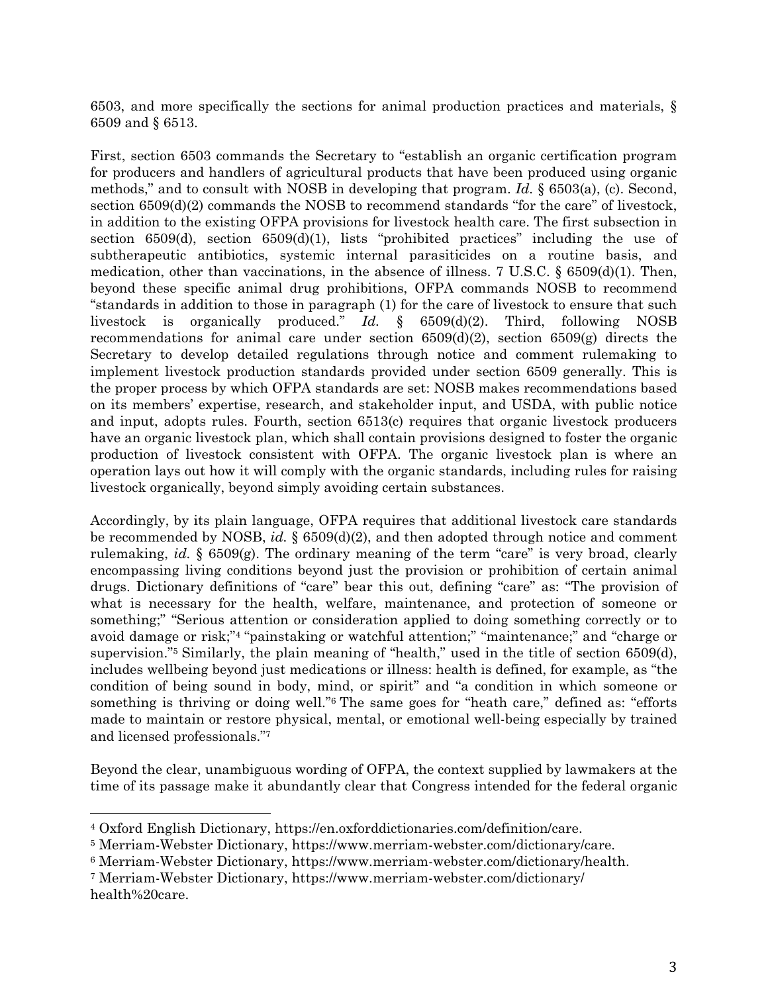6503, and more specifically the sections for animal production practices and materials, § 6509 and § 6513.

First, section 6503 commands the Secretary to "establish an organic certification program for producers and handlers of agricultural products that have been produced using organic methods," and to consult with NOSB in developing that program. *Id.* § 6503(a), (c). Second, section 6509(d)(2) commands the NOSB to recommend standards "for the care" of livestock, in addition to the existing OFPA provisions for livestock health care. The first subsection in section  $6509(d)$ , section  $6509(d)(1)$ , lists "prohibited practices" including the use of subtherapeutic antibiotics, systemic internal parasiticides on a routine basis, and medication, other than vaccinations, in the absence of illness. 7 U.S.C.  $\S$  6509(d)(1). Then, beyond these specific animal drug prohibitions, OFPA commands NOSB to recommend "standards in addition to those in paragraph (1) for the care of livestock to ensure that such livestock is organically produced." *Id.* § 6509(d)(2). Third, following NOSB recommendations for animal care under section  $6509(d)(2)$ , section  $6509(g)$  directs the Secretary to develop detailed regulations through notice and comment rulemaking to implement livestock production standards provided under section 6509 generally. This is the proper process by which OFPA standards are set: NOSB makes recommendations based on its members' expertise, research, and stakeholder input, and USDA, with public notice and input, adopts rules. Fourth, section 6513(c) requires that organic livestock producers have an organic livestock plan, which shall contain provisions designed to foster the organic production of livestock consistent with OFPA. The organic livestock plan is where an operation lays out how it will comply with the organic standards, including rules for raising livestock organically, beyond simply avoiding certain substances.

Accordingly, by its plain language, OFPA requires that additional livestock care standards be recommended by NOSB, *id.* § 6509(d)(2), and then adopted through notice and comment rulemaking, *id.* § 6509(g). The ordinary meaning of the term "care" is very broad, clearly encompassing living conditions beyond just the provision or prohibition of certain animal drugs. Dictionary definitions of "care" bear this out, defining "care" as: "The provision of what is necessary for the health, welfare, maintenance, and protection of someone or something;" "Serious attention or consideration applied to doing something correctly or to avoid damage or risk;"4 "painstaking or watchful attention;" "maintenance;" and "charge or supervision."5 Similarly, the plain meaning of "health," used in the title of section 6509(d), includes wellbeing beyond just medications or illness: health is defined, for example, as "the condition of being sound in body, mind, or spirit" and "a condition in which someone or something is thriving or doing well."6 The same goes for "heath care," defined as: "efforts made to maintain or restore physical, mental, or emotional well-being especially by trained and licensed professionals."7

Beyond the clear, unambiguous wording of OFPA, the context supplied by lawmakers at the time of its passage make it abundantly clear that Congress intended for the federal organic

<sup>4</sup> Oxford English Dictionary, https://en.oxforddictionaries.com/definition/care.

<sup>5</sup> Merriam-Webster Dictionary, https://www.merriam-webster.com/dictionary/care.

<sup>6</sup> Merriam-Webster Dictionary, https://www.merriam-webster.com/dictionary/health.

<sup>7</sup> Merriam-Webster Dictionary, https://www.merriam-webster.com/dictionary/ health%20care.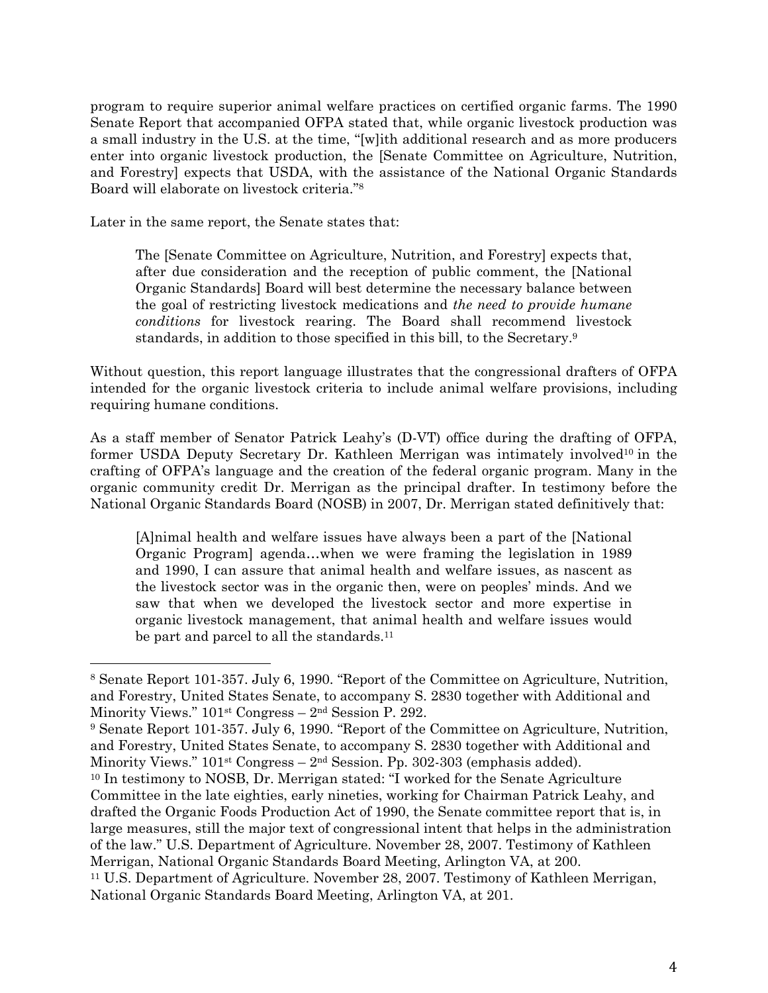program to require superior animal welfare practices on certified organic farms. The 1990 Senate Report that accompanied OFPA stated that, while organic livestock production was a small industry in the U.S. at the time, "[w]ith additional research and as more producers enter into organic livestock production, the [Senate Committee on Agriculture, Nutrition, and Forestry] expects that USDA, with the assistance of the National Organic Standards Board will elaborate on livestock criteria."8

Later in the same report, the Senate states that:

 

The [Senate Committee on Agriculture, Nutrition, and Forestry] expects that, after due consideration and the reception of public comment, the [National Organic Standards] Board will best determine the necessary balance between the goal of restricting livestock medications and *the need to provide humane conditions* for livestock rearing. The Board shall recommend livestock standards, in addition to those specified in this bill, to the Secretary.9

Without question, this report language illustrates that the congressional drafters of OFPA intended for the organic livestock criteria to include animal welfare provisions, including requiring humane conditions.

As a staff member of Senator Patrick Leahy's (D-VT) office during the drafting of OFPA, former USDA Deputy Secretary Dr. Kathleen Merrigan was intimately involved<sup>10</sup> in the crafting of OFPA's language and the creation of the federal organic program. Many in the organic community credit Dr. Merrigan as the principal drafter. In testimony before the National Organic Standards Board (NOSB) in 2007, Dr. Merrigan stated definitively that:

[A]nimal health and welfare issues have always been a part of the [National Organic Program] agenda…when we were framing the legislation in 1989 and 1990, I can assure that animal health and welfare issues, as nascent as the livestock sector was in the organic then, were on peoples' minds. And we saw that when we developed the livestock sector and more expertise in organic livestock management, that animal health and welfare issues would be part and parcel to all the standards.<sup>11</sup>

<sup>8</sup> Senate Report 101-357. July 6, 1990. "Report of the Committee on Agriculture, Nutrition, and Forestry, United States Senate, to accompany S. 2830 together with Additional and Minority Views." 101st Congress – 2nd Session P. 292.

<sup>9</sup> Senate Report 101-357. July 6, 1990. "Report of the Committee on Agriculture, Nutrition, and Forestry, United States Senate, to accompany S. 2830 together with Additional and Minority Views."  $101<sup>st</sup> Congress - 2<sup>nd</sup> Session.$  Pp. 302-303 (emphasis added).

<sup>10</sup> In testimony to NOSB, Dr. Merrigan stated: "I worked for the Senate Agriculture Committee in the late eighties, early nineties, working for Chairman Patrick Leahy, and drafted the Organic Foods Production Act of 1990, the Senate committee report that is, in large measures, still the major text of congressional intent that helps in the administration of the law." U.S. Department of Agriculture. November 28, 2007. Testimony of Kathleen Merrigan, National Organic Standards Board Meeting, Arlington VA, at 200.

<sup>11</sup> U.S. Department of Agriculture. November 28, 2007. Testimony of Kathleen Merrigan, National Organic Standards Board Meeting, Arlington VA, at 201.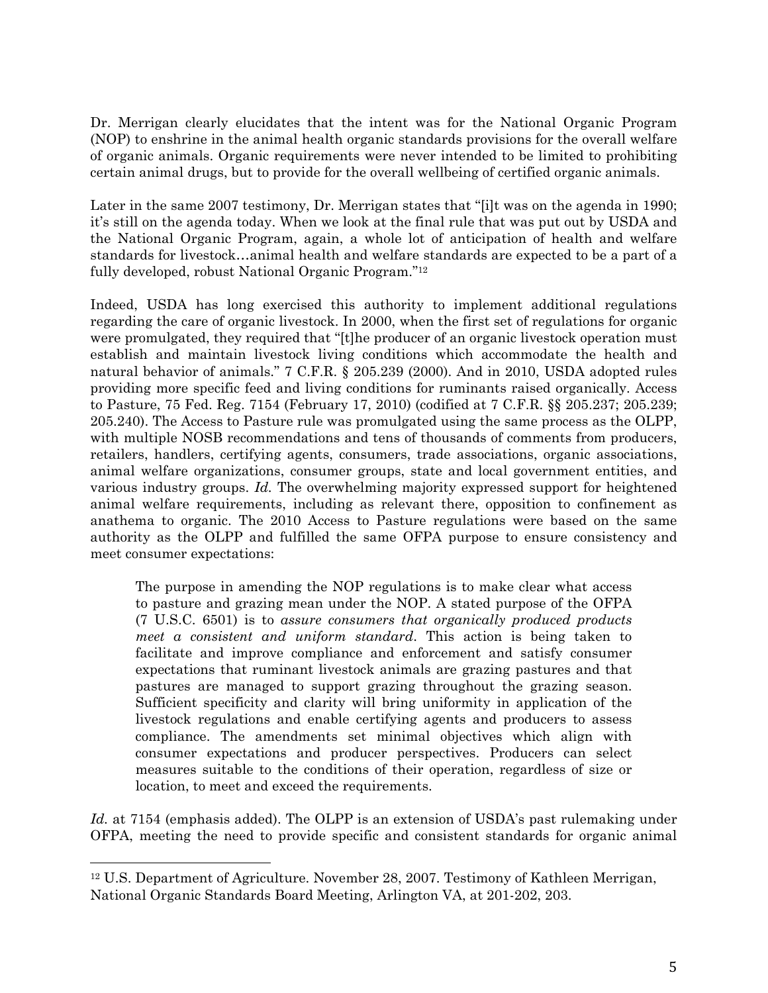Dr. Merrigan clearly elucidates that the intent was for the National Organic Program (NOP) to enshrine in the animal health organic standards provisions for the overall welfare of organic animals. Organic requirements were never intended to be limited to prohibiting certain animal drugs, but to provide for the overall wellbeing of certified organic animals.

Later in the same 2007 testimony, Dr. Merrigan states that "[i]t was on the agenda in 1990; it's still on the agenda today. When we look at the final rule that was put out by USDA and the National Organic Program, again, a whole lot of anticipation of health and welfare standards for livestock…animal health and welfare standards are expected to be a part of a fully developed, robust National Organic Program."12

Indeed, USDA has long exercised this authority to implement additional regulations regarding the care of organic livestock. In 2000, when the first set of regulations for organic were promulgated, they required that "[t]he producer of an organic livestock operation must establish and maintain livestock living conditions which accommodate the health and natural behavior of animals." 7 C.F.R. § 205.239 (2000). And in 2010, USDA adopted rules providing more specific feed and living conditions for ruminants raised organically. Access to Pasture, 75 Fed. Reg. 7154 (February 17, 2010) (codified at 7 C.F.R. §§ 205.237; 205.239; 205.240). The Access to Pasture rule was promulgated using the same process as the OLPP, with multiple NOSB recommendations and tens of thousands of comments from producers, retailers, handlers, certifying agents, consumers, trade associations, organic associations, animal welfare organizations, consumer groups, state and local government entities, and various industry groups. *Id.* The overwhelming majority expressed support for heightened animal welfare requirements, including as relevant there, opposition to confinement as anathema to organic. The 2010 Access to Pasture regulations were based on the same authority as the OLPP and fulfilled the same OFPA purpose to ensure consistency and meet consumer expectations:

The purpose in amending the NOP regulations is to make clear what access to pasture and grazing mean under the NOP. A stated purpose of the OFPA (7 U.S.C. 6501) is to *assure consumers that organically produced products meet a consistent and uniform standard*. This action is being taken to facilitate and improve compliance and enforcement and satisfy consumer expectations that ruminant livestock animals are grazing pastures and that pastures are managed to support grazing throughout the grazing season. Sufficient specificity and clarity will bring uniformity in application of the livestock regulations and enable certifying agents and producers to assess compliance. The amendments set minimal objectives which align with consumer expectations and producer perspectives. Producers can select measures suitable to the conditions of their operation, regardless of size or location, to meet and exceed the requirements.

Id. at 7154 (emphasis added). The OLPP is an extension of USDA's past rulemaking under OFPA, meeting the need to provide specific and consistent standards for organic animal

<sup>&</sup>lt;sup>12</sup> U.S. Department of Agriculture. November 28, 2007. Testimony of Kathleen Merrigan, National Organic Standards Board Meeting, Arlington VA, at 201-202, 203.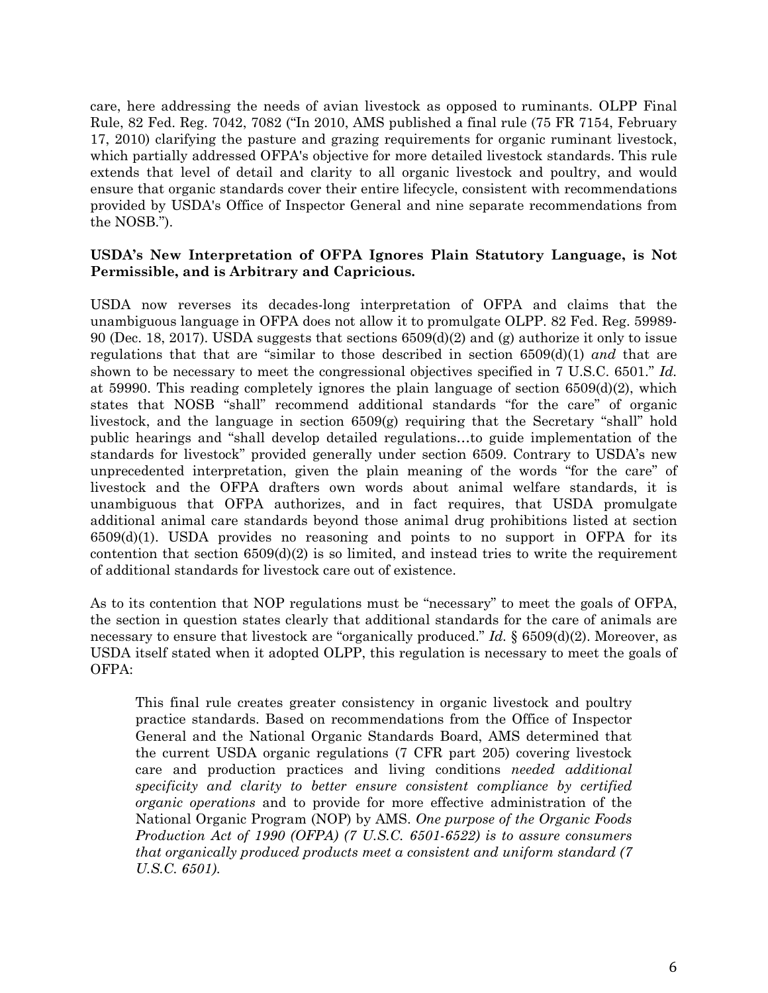care, here addressing the needs of avian livestock as opposed to ruminants. OLPP Final Rule, 82 Fed. Reg. 7042, 7082 ("In 2010, AMS published a final rule (75 FR 7154, February 17, 2010) clarifying the pasture and grazing requirements for organic ruminant livestock, which partially addressed OFPA's objective for more detailed livestock standards. This rule extends that level of detail and clarity to all organic livestock and poultry, and would ensure that organic standards cover their entire lifecycle, consistent with recommendations provided by USDA's Office of Inspector General and nine separate recommendations from the NOSB.").

### **USDA's New Interpretation of OFPA Ignores Plain Statutory Language, is Not Permissible, and is Arbitrary and Capricious.**

USDA now reverses its decades-long interpretation of OFPA and claims that the unambiguous language in OFPA does not allow it to promulgate OLPP. 82 Fed. Reg. 59989- 90 (Dec. 18, 2017). USDA suggests that sections  $6509(d)(2)$  and (g) authorize it only to issue regulations that that are "similar to those described in section 6509(d)(1) *and* that are shown to be necessary to meet the congressional objectives specified in 7 U.S.C. 6501." *Id.* at 59990. This reading completely ignores the plain language of section 6509(d)(2), which states that NOSB "shall" recommend additional standards "for the care" of organic livestock, and the language in section 6509(g) requiring that the Secretary "shall" hold public hearings and "shall develop detailed regulations…to guide implementation of the standards for livestock" provided generally under section 6509. Contrary to USDA's new unprecedented interpretation, given the plain meaning of the words "for the care" of livestock and the OFPA drafters own words about animal welfare standards, it is unambiguous that OFPA authorizes, and in fact requires, that USDA promulgate additional animal care standards beyond those animal drug prohibitions listed at section 6509(d)(1). USDA provides no reasoning and points to no support in OFPA for its contention that section  $6509(d)(2)$  is so limited, and instead tries to write the requirement of additional standards for livestock care out of existence.

As to its contention that NOP regulations must be "necessary" to meet the goals of OFPA, the section in question states clearly that additional standards for the care of animals are necessary to ensure that livestock are "organically produced." *Id.* § 6509(d)(2). Moreover, as USDA itself stated when it adopted OLPP, this regulation is necessary to meet the goals of OFPA:

This final rule creates greater consistency in organic livestock and poultry practice standards. Based on recommendations from the Office of Inspector General and the National Organic Standards Board, AMS determined that the current USDA organic regulations (7 CFR part 205) covering livestock care and production practices and living conditions *needed additional specificity and clarity to better ensure consistent compliance by certified organic operations* and to provide for more effective administration of the National Organic Program (NOP) by AMS. *One purpose of the Organic Foods Production Act of 1990 (OFPA) (7 U.S.C. 6501-6522) is to assure consumers that organically produced products meet a consistent and uniform standard (7 U.S.C. 6501)*.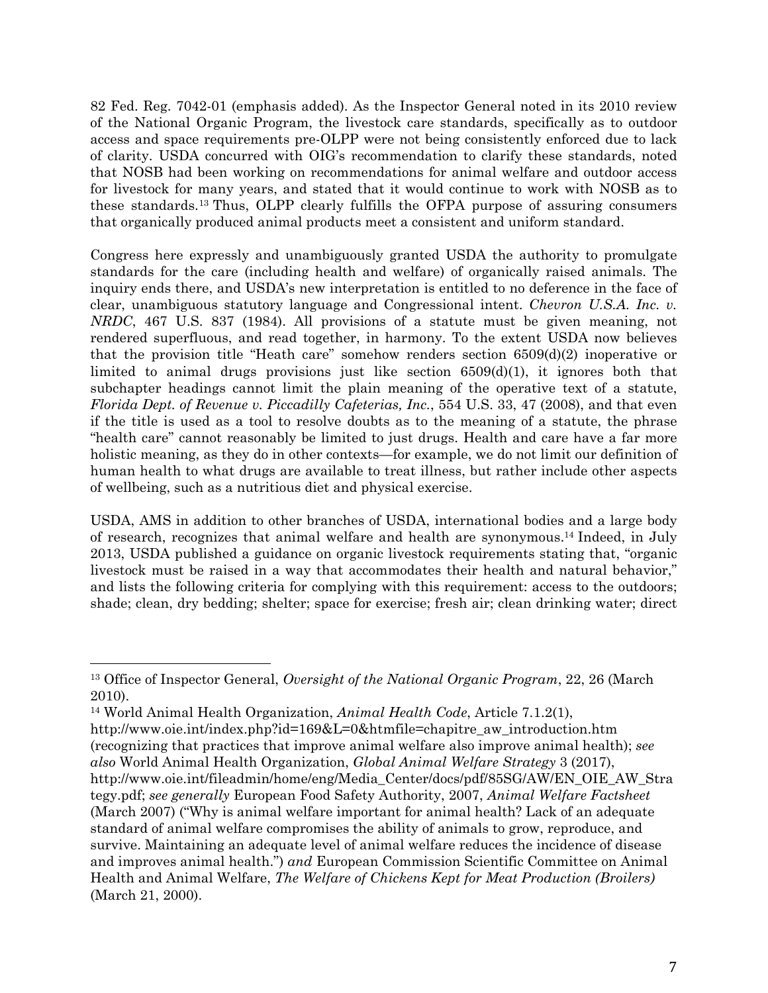82 Fed. Reg. 7042-01 (emphasis added). As the Inspector General noted in its 2010 review of the National Organic Program, the livestock care standards, specifically as to outdoor access and space requirements pre-OLPP were not being consistently enforced due to lack of clarity. USDA concurred with OIG's recommendation to clarify these standards, noted that NOSB had been working on recommendations for animal welfare and outdoor access for livestock for many years, and stated that it would continue to work with NOSB as to these standards.13 Thus, OLPP clearly fulfills the OFPA purpose of assuring consumers that organically produced animal products meet a consistent and uniform standard.

Congress here expressly and unambiguously granted USDA the authority to promulgate standards for the care (including health and welfare) of organically raised animals. The inquiry ends there, and USDA's new interpretation is entitled to no deference in the face of clear, unambiguous statutory language and Congressional intent. *Chevron U.S.A. Inc. v. NRDC*, 467 U.S. 837 (1984). All provisions of a statute must be given meaning, not rendered superfluous, and read together, in harmony. To the extent USDA now believes that the provision title "Heath care" somehow renders section 6509(d)(2) inoperative or limited to animal drugs provisions just like section 6509(d)(1), it ignores both that subchapter headings cannot limit the plain meaning of the operative text of a statute, *Florida Dept. of Revenue v. Piccadilly Cafeterias, Inc.*, 554 U.S. 33, 47 (2008), and that even if the title is used as a tool to resolve doubts as to the meaning of a statute, the phrase "health care" cannot reasonably be limited to just drugs. Health and care have a far more holistic meaning, as they do in other contexts—for example, we do not limit our definition of human health to what drugs are available to treat illness, but rather include other aspects of wellbeing, such as a nutritious diet and physical exercise.

USDA, AMS in addition to other branches of USDA, international bodies and a large body of research, recognizes that animal welfare and health are synonymous.14 Indeed, in July 2013, USDA published a guidance on organic livestock requirements stating that, "organic livestock must be raised in a way that accommodates their health and natural behavior," and lists the following criteria for complying with this requirement: access to the outdoors; shade; clean, dry bedding; shelter; space for exercise; fresh air; clean drinking water; direct

<sup>13</sup> Office of Inspector General, *Oversight of the National Organic Program*, 22, 26 (March 2010).

<sup>14</sup> World Animal Health Organization, *Animal Health Code*, Article 7.1.2(1),

http://www.oie.int/index.php?id=169&L=0&htmfile=chapitre\_aw\_introduction.htm (recognizing that practices that improve animal welfare also improve animal health); *see also* World Animal Health Organization, *Global Animal Welfare Strategy* 3 (2017), http://www.oie.int/fileadmin/home/eng/Media\_Center/docs/pdf/85SG/AW/EN\_OIE\_AW\_Stra tegy.pdf; *see generally* European Food Safety Authority, 2007, *Animal Welfare Factsheet* (March 2007) ("Why is animal welfare important for animal health? Lack of an adequate standard of animal welfare compromises the ability of animals to grow, reproduce, and survive. Maintaining an adequate level of animal welfare reduces the incidence of disease and improves animal health.") *and* European Commission Scientific Committee on Animal Health and Animal Welfare, *The Welfare of Chickens Kept for Meat Production (Broilers)* (March 21, 2000).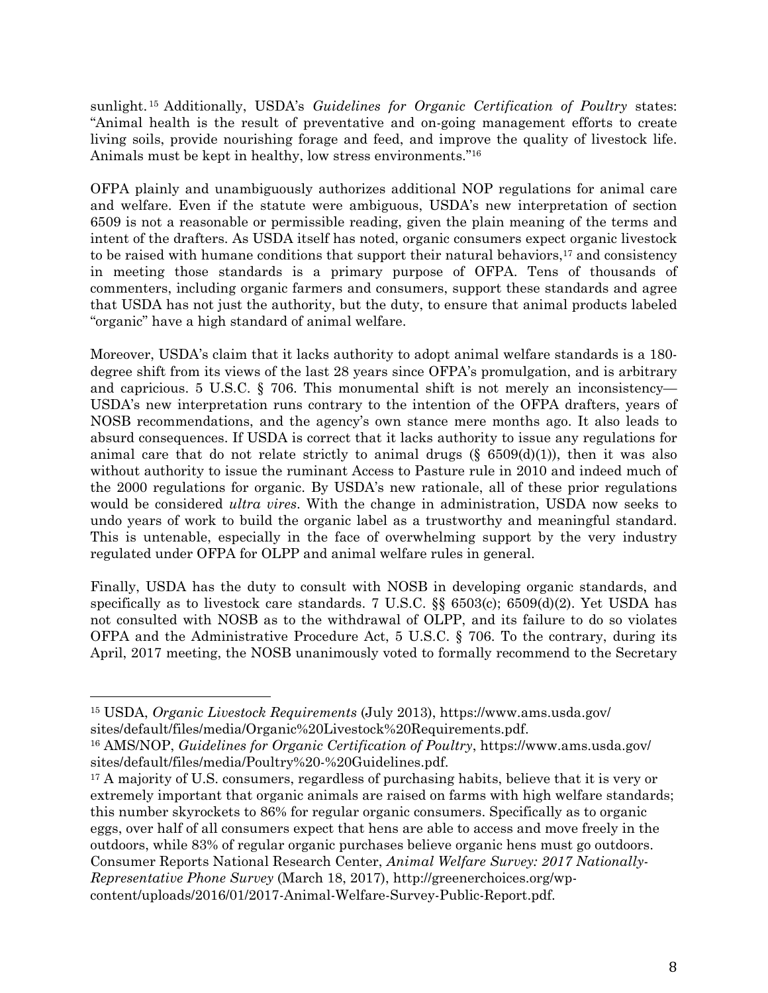sunlight. 15 Additionally, USDA's *Guidelines for Organic Certification of Poultry* states: "Animal health is the result of preventative and on-going management efforts to create living soils, provide nourishing forage and feed, and improve the quality of livestock life. Animals must be kept in healthy, low stress environments."16

OFPA plainly and unambiguously authorizes additional NOP regulations for animal care and welfare. Even if the statute were ambiguous, USDA's new interpretation of section 6509 is not a reasonable or permissible reading, given the plain meaning of the terms and intent of the drafters. As USDA itself has noted, organic consumers expect organic livestock to be raised with humane conditions that support their natural behaviors, $17$  and consistency in meeting those standards is a primary purpose of OFPA. Tens of thousands of commenters, including organic farmers and consumers, support these standards and agree that USDA has not just the authority, but the duty, to ensure that animal products labeled "organic" have a high standard of animal welfare.

Moreover, USDA's claim that it lacks authority to adopt animal welfare standards is a 180 degree shift from its views of the last 28 years since OFPA's promulgation, and is arbitrary and capricious. 5 U.S.C.  $\S$  706. This monumental shift is not merely an inconsistency— USDA's new interpretation runs contrary to the intention of the OFPA drafters, years of NOSB recommendations, and the agency's own stance mere months ago. It also leads to absurd consequences. If USDA is correct that it lacks authority to issue any regulations for animal care that do not relate strictly to animal drugs  $(\S 6509(d)(1))$ , then it was also without authority to issue the ruminant Access to Pasture rule in 2010 and indeed much of the 2000 regulations for organic. By USDA's new rationale, all of these prior regulations would be considered *ultra vires*. With the change in administration, USDA now seeks to undo years of work to build the organic label as a trustworthy and meaningful standard. This is untenable, especially in the face of overwhelming support by the very industry regulated under OFPA for OLPP and animal welfare rules in general.

Finally, USDA has the duty to consult with NOSB in developing organic standards, and specifically as to livestock care standards. 7 U.S.C. §§ 6503(c); 6509(d)(2). Yet USDA has not consulted with NOSB as to the withdrawal of OLPP, and its failure to do so violates OFPA and the Administrative Procedure Act, 5 U.S.C. § 706. To the contrary, during its April, 2017 meeting, the NOSB unanimously voted to formally recommend to the Secretary

<sup>15</sup> USDA, *Organic Livestock Requirements* (July 2013), https://www.ams.usda.gov/ sites/default/files/media/Organic%20Livestock%20Requirements.pdf.

<sup>16</sup> AMS/NOP, *Guidelines for Organic Certification of Poultry*, https://www.ams.usda.gov/ sites/default/files/media/Poultry%20-%20Guidelines.pdf.

<sup>&</sup>lt;sup>17</sup> A majority of U.S. consumers, regardless of purchasing habits, believe that it is very or extremely important that organic animals are raised on farms with high welfare standards; this number skyrockets to 86% for regular organic consumers. Specifically as to organic eggs, over half of all consumers expect that hens are able to access and move freely in the outdoors, while 83% of regular organic purchases believe organic hens must go outdoors. Consumer Reports National Research Center, *Animal Welfare Survey: 2017 Nationally-Representative Phone Survey* (March 18, 2017), http://greenerchoices.org/wpcontent/uploads/2016/01/2017-Animal-Welfare-Survey-Public-Report.pdf.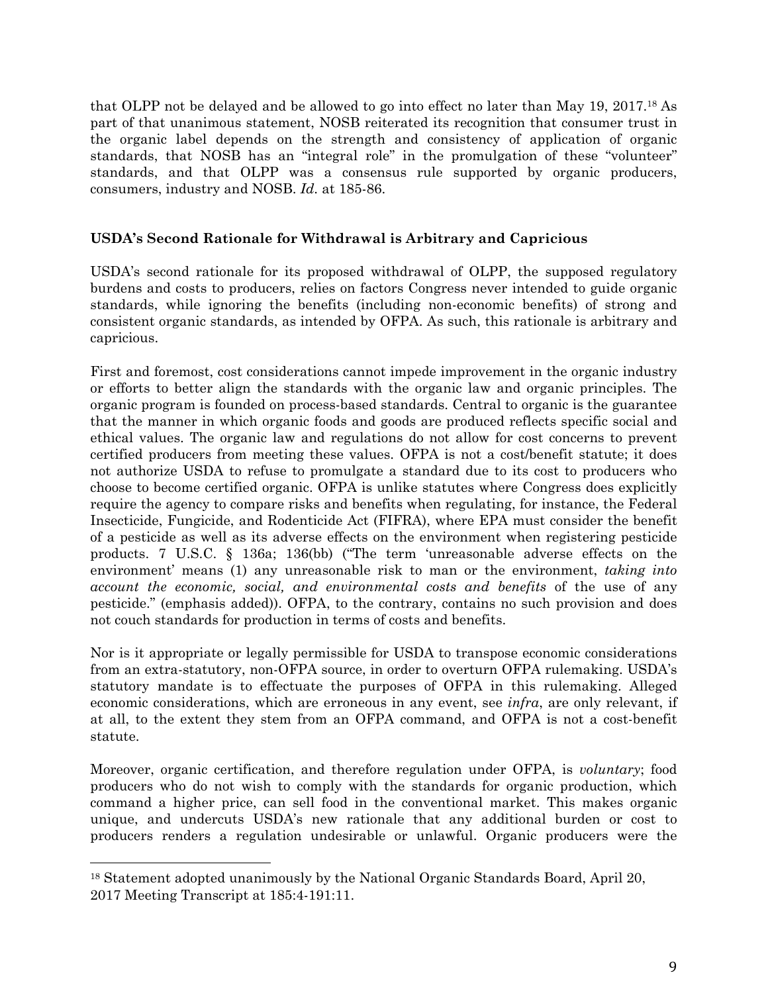that OLPP not be delayed and be allowed to go into effect no later than May 19, 2017.18 As part of that unanimous statement, NOSB reiterated its recognition that consumer trust in the organic label depends on the strength and consistency of application of organic standards, that NOSB has an "integral role" in the promulgation of these "volunteer" standards, and that OLPP was a consensus rule supported by organic producers, consumers, industry and NOSB. *Id.* at 185-86.

# **USDA's Second Rationale for Withdrawal is Arbitrary and Capricious**

USDA's second rationale for its proposed withdrawal of OLPP, the supposed regulatory burdens and costs to producers, relies on factors Congress never intended to guide organic standards, while ignoring the benefits (including non-economic benefits) of strong and consistent organic standards, as intended by OFPA. As such, this rationale is arbitrary and capricious.

First and foremost, cost considerations cannot impede improvement in the organic industry or efforts to better align the standards with the organic law and organic principles. The organic program is founded on process-based standards. Central to organic is the guarantee that the manner in which organic foods and goods are produced reflects specific social and ethical values. The organic law and regulations do not allow for cost concerns to prevent certified producers from meeting these values. OFPA is not a cost/benefit statute; it does not authorize USDA to refuse to promulgate a standard due to its cost to producers who choose to become certified organic. OFPA is unlike statutes where Congress does explicitly require the agency to compare risks and benefits when regulating, for instance, the Federal Insecticide, Fungicide, and Rodenticide Act (FIFRA), where EPA must consider the benefit of a pesticide as well as its adverse effects on the environment when registering pesticide products. 7 U.S.C. § 136a; 136(bb) ("The term 'unreasonable adverse effects on the environment' means (1) any unreasonable risk to man or the environment, *taking into account the economic, social, and environmental costs and benefits* of the use of any pesticide." (emphasis added)). OFPA, to the contrary, contains no such provision and does not couch standards for production in terms of costs and benefits.

Nor is it appropriate or legally permissible for USDA to transpose economic considerations from an extra-statutory, non-OFPA source, in order to overturn OFPA rulemaking. USDA's statutory mandate is to effectuate the purposes of OFPA in this rulemaking. Alleged economic considerations, which are erroneous in any event, see *infra*, are only relevant, if at all, to the extent they stem from an OFPA command, and OFPA is not a cost-benefit statute.

Moreover, organic certification, and therefore regulation under OFPA, is *voluntary*; food producers who do not wish to comply with the standards for organic production, which command a higher price, can sell food in the conventional market. This makes organic unique, and undercuts USDA's new rationale that any additional burden or cost to producers renders a regulation undesirable or unlawful. Organic producers were the

<sup>18</sup> Statement adopted unanimously by the National Organic Standards Board, April 20, 2017 Meeting Transcript at 185:4-191:11.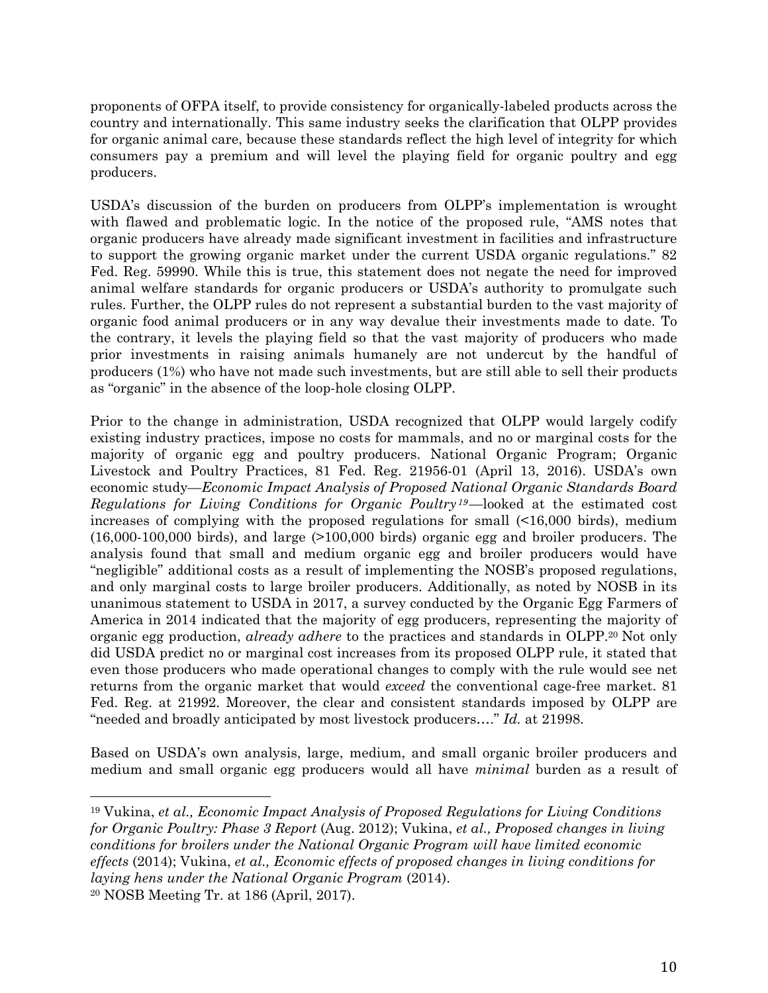proponents of OFPA itself, to provide consistency for organically-labeled products across the country and internationally. This same industry seeks the clarification that OLPP provides for organic animal care, because these standards reflect the high level of integrity for which consumers pay a premium and will level the playing field for organic poultry and egg producers.

USDA's discussion of the burden on producers from OLPP's implementation is wrought with flawed and problematic logic. In the notice of the proposed rule, "AMS notes that organic producers have already made significant investment in facilities and infrastructure to support the growing organic market under the current USDA organic regulations." 82 Fed. Reg. 59990. While this is true, this statement does not negate the need for improved animal welfare standards for organic producers or USDA's authority to promulgate such rules. Further, the OLPP rules do not represent a substantial burden to the vast majority of organic food animal producers or in any way devalue their investments made to date. To the contrary, it levels the playing field so that the vast majority of producers who made prior investments in raising animals humanely are not undercut by the handful of producers (1%) who have not made such investments, but are still able to sell their products as "organic" in the absence of the loop-hole closing OLPP.

Prior to the change in administration, USDA recognized that OLPP would largely codify existing industry practices, impose no costs for mammals, and no or marginal costs for the majority of organic egg and poultry producers. National Organic Program; Organic Livestock and Poultry Practices, 81 Fed. Reg. 21956-01 (April 13, 2016). USDA's own economic study—*Economic Impact Analysis of Proposed National Organic Standards Board Regulations for Living Conditions for Organic Poultry <sup>19</sup>*—looked at the estimated cost increases of complying with the proposed regulations for small (<16,000 birds), medium (16,000-100,000 birds), and large (>100,000 birds) organic egg and broiler producers. The analysis found that small and medium organic egg and broiler producers would have "negligible" additional costs as a result of implementing the NOSB's proposed regulations, and only marginal costs to large broiler producers. Additionally, as noted by NOSB in its unanimous statement to USDA in 2017, a survey conducted by the Organic Egg Farmers of America in 2014 indicated that the majority of egg producers, representing the majority of organic egg production, *already adhere* to the practices and standards in OLPP.20 Not only did USDA predict no or marginal cost increases from its proposed OLPP rule, it stated that even those producers who made operational changes to comply with the rule would see net returns from the organic market that would *exceed* the conventional cage-free market. 81 Fed. Reg. at 21992. Moreover, the clear and consistent standards imposed by OLPP are "needed and broadly anticipated by most livestock producers…." *Id.* at 21998.

Based on USDA's own analysis, large, medium, and small organic broiler producers and medium and small organic egg producers would all have *minimal* burden as a result of

<sup>19</sup> Vukina, *et al., Economic Impact Analysis of Proposed Regulations for Living Conditions for Organic Poultry: Phase 3 Report* (Aug. 2012); Vukina, *et al., Proposed changes in living conditions for broilers under the National Organic Program will have limited economic effects* (2014); Vukina, *et al., Economic effects of proposed changes in living conditions for laying hens under the National Organic Program* (2014). 20 NOSB Meeting Tr. at 186 (April, 2017).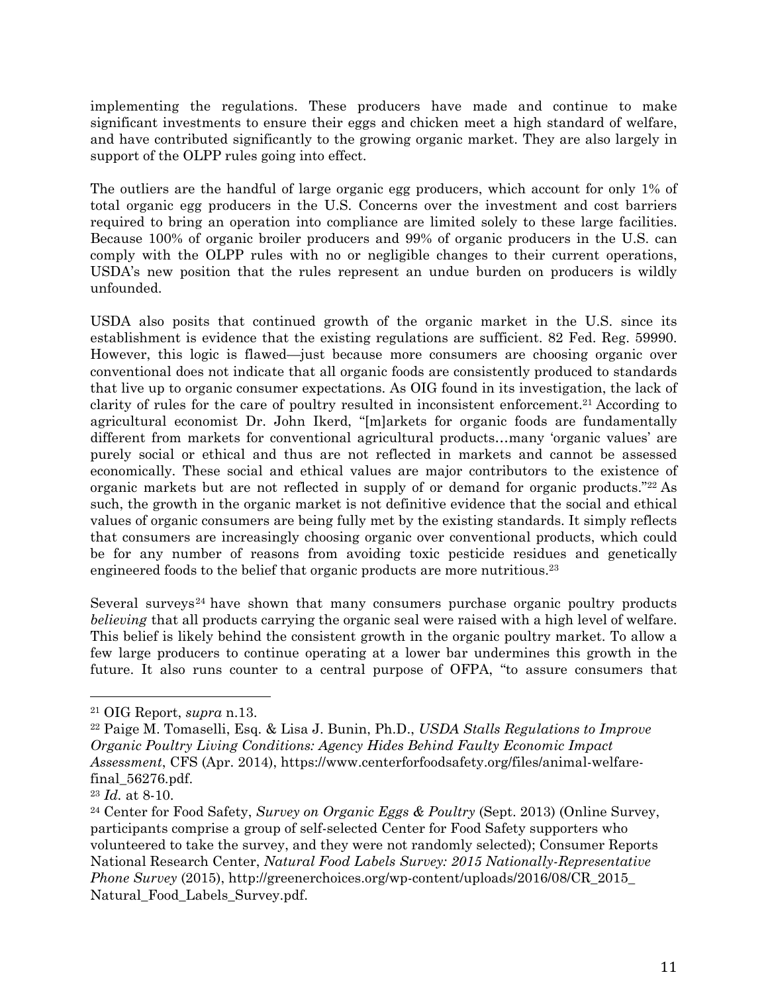implementing the regulations. These producers have made and continue to make significant investments to ensure their eggs and chicken meet a high standard of welfare, and have contributed significantly to the growing organic market. They are also largely in support of the OLPP rules going into effect.

The outliers are the handful of large organic egg producers, which account for only 1% of total organic egg producers in the U.S. Concerns over the investment and cost barriers required to bring an operation into compliance are limited solely to these large facilities. Because 100% of organic broiler producers and 99% of organic producers in the U.S. can comply with the OLPP rules with no or negligible changes to their current operations, USDA's new position that the rules represent an undue burden on producers is wildly unfounded.

USDA also posits that continued growth of the organic market in the U.S. since its establishment is evidence that the existing regulations are sufficient. 82 Fed. Reg. 59990. However, this logic is flawed—just because more consumers are choosing organic over conventional does not indicate that all organic foods are consistently produced to standards that live up to organic consumer expectations. As OIG found in its investigation, the lack of clarity of rules for the care of poultry resulted in inconsistent enforcement.21 According to agricultural economist Dr. John Ikerd, "[m]arkets for organic foods are fundamentally different from markets for conventional agricultural products…many 'organic values' are purely social or ethical and thus are not reflected in markets and cannot be assessed economically. These social and ethical values are major contributors to the existence of organic markets but are not reflected in supply of or demand for organic products."22 As such, the growth in the organic market is not definitive evidence that the social and ethical values of organic consumers are being fully met by the existing standards. It simply reflects that consumers are increasingly choosing organic over conventional products, which could be for any number of reasons from avoiding toxic pesticide residues and genetically engineered foods to the belief that organic products are more nutritious.23

Several surveys<sup>24</sup> have shown that many consumers purchase organic poultry products *believing* that all products carrying the organic seal were raised with a high level of welfare. This belief is likely behind the consistent growth in the organic poultry market. To allow a few large producers to continue operating at a lower bar undermines this growth in the future. It also runs counter to a central purpose of OFPA, "to assure consumers that

<sup>21</sup> OIG Report, *supra* n.13.

<sup>22</sup> Paige M. Tomaselli, Esq. & Lisa J. Bunin, Ph.D., *USDA Stalls Regulations to Improve Organic Poultry Living Conditions: Agency Hides Behind Faulty Economic Impact Assessment*, CFS (Apr. 2014), https://www.centerforfoodsafety.org/files/animal-welfarefinal\_56276.pdf.

<sup>23</sup> *Id.* at 8-10.

<sup>24</sup> Center for Food Safety, *Survey on Organic Eggs & Poultry* (Sept. 2013) (Online Survey, participants comprise a group of self-selected Center for Food Safety supporters who volunteered to take the survey, and they were not randomly selected); Consumer Reports National Research Center, *Natural Food Labels Survey: 2015 Nationally-Representative Phone Survey* (2015), http://greenerchoices.org/wp-content/uploads/2016/08/CR\_2015\_ Natural\_Food\_Labels\_Survey.pdf.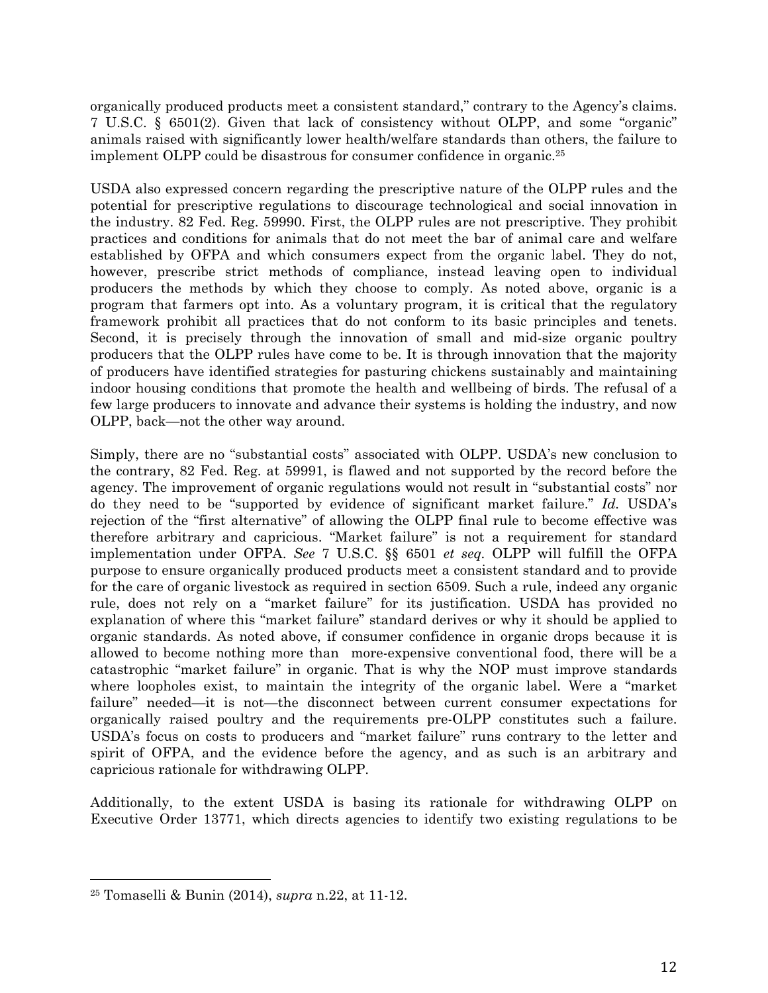organically produced products meet a consistent standard," contrary to the Agency's claims. 7 U.S.C. § 6501(2). Given that lack of consistency without OLPP, and some "organic" animals raised with significantly lower health/welfare standards than others, the failure to implement OLPP could be disastrous for consumer confidence in organic.25

USDA also expressed concern regarding the prescriptive nature of the OLPP rules and the potential for prescriptive regulations to discourage technological and social innovation in the industry. 82 Fed. Reg. 59990. First, the OLPP rules are not prescriptive. They prohibit practices and conditions for animals that do not meet the bar of animal care and welfare established by OFPA and which consumers expect from the organic label. They do not, however, prescribe strict methods of compliance, instead leaving open to individual producers the methods by which they choose to comply. As noted above, organic is a program that farmers opt into. As a voluntary program, it is critical that the regulatory framework prohibit all practices that do not conform to its basic principles and tenets. Second, it is precisely through the innovation of small and mid-size organic poultry producers that the OLPP rules have come to be. It is through innovation that the majority of producers have identified strategies for pasturing chickens sustainably and maintaining indoor housing conditions that promote the health and wellbeing of birds. The refusal of a few large producers to innovate and advance their systems is holding the industry, and now OLPP, back—not the other way around.

Simply, there are no "substantial costs" associated with OLPP. USDA's new conclusion to the contrary, 82 Fed. Reg. at 59991, is flawed and not supported by the record before the agency. The improvement of organic regulations would not result in "substantial costs" nor do they need to be "supported by evidence of significant market failure." *Id.* USDA's rejection of the "first alternative" of allowing the OLPP final rule to become effective was therefore arbitrary and capricious. "Market failure" is not a requirement for standard implementation under OFPA. *See* 7 U.S.C. §§ 6501 *et seq.* OLPP will fulfill the OFPA purpose to ensure organically produced products meet a consistent standard and to provide for the care of organic livestock as required in section 6509. Such a rule, indeed any organic rule, does not rely on a "market failure" for its justification. USDA has provided no explanation of where this "market failure" standard derives or why it should be applied to organic standards. As noted above, if consumer confidence in organic drops because it is allowed to become nothing more than more-expensive conventional food, there will be a catastrophic "market failure" in organic. That is why the NOP must improve standards where loopholes exist, to maintain the integrity of the organic label. Were a "market failure" needed—it is not—the disconnect between current consumer expectations for organically raised poultry and the requirements pre-OLPP constitutes such a failure. USDA's focus on costs to producers and "market failure" runs contrary to the letter and spirit of OFPA, and the evidence before the agency, and as such is an arbitrary and capricious rationale for withdrawing OLPP.

Additionally, to the extent USDA is basing its rationale for withdrawing OLPP on Executive Order 13771, which directs agencies to identify two existing regulations to be

<sup>25</sup> Tomaselli & Bunin (2014), *supra* n.22, at 11-12.